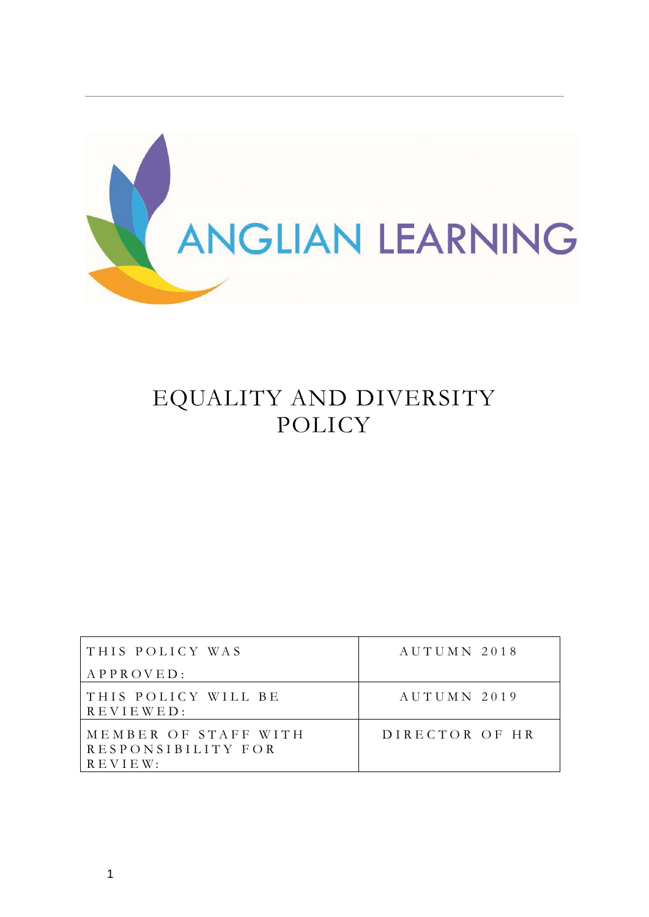

# EQUALITY AND DIVERSITY POLICY

| THIS POLICY WAS                                       | AUTUMN 2018    |
|-------------------------------------------------------|----------------|
| APPROVED:                                             |                |
| THIS POLICY WILL BE<br>$R$ E V I E W E D :            | AUTUMN 2019    |
| MEMBER OF STAFF WITH<br>RESPONSIBILITY FOR<br>REVIEW: | DIRECTOR OF HR |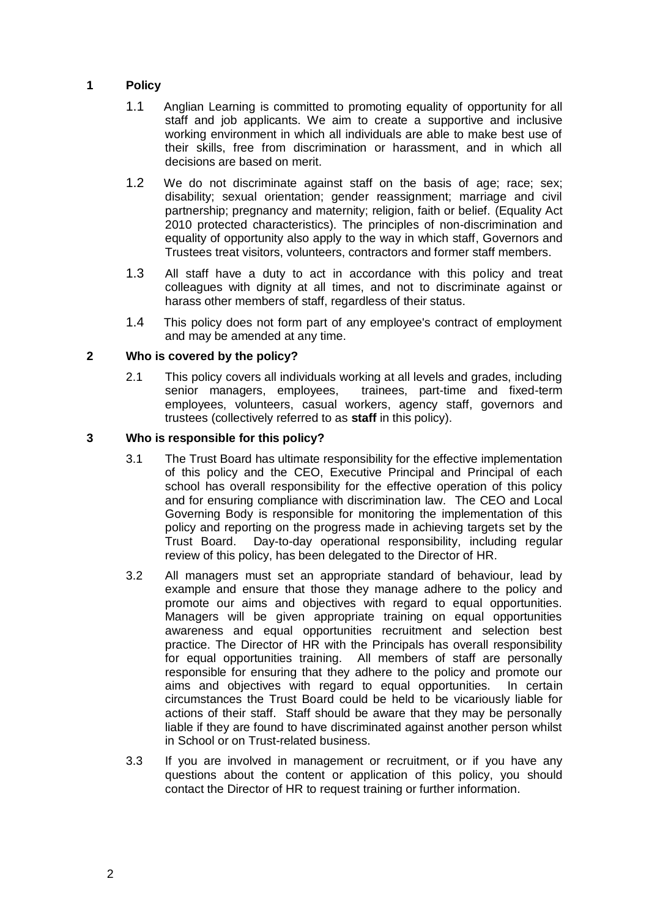## **1 Policy**

- 1.1 Anglian Learning is committed to promoting equality of opportunity for all staff and job applicants. We aim to create a supportive and inclusive working environment in which all individuals are able to make best use of their skills, free from discrimination or harassment, and in which all decisions are based on merit.
- 1.2 We do not discriminate against staff on the basis of age; race; sex; disability; sexual orientation; gender reassignment; marriage and civil partnership; pregnancy and maternity; religion, faith or belief. (Equality Act 2010 protected characteristics). The principles of non-discrimination and equality of opportunity also apply to the way in which staff, Governors and Trustees treat visitors, volunteers, contractors and former staff members.
- 1.3 All staff have a duty to act in accordance with this policy and treat colleagues with dignity at all times, and not to discriminate against or harass other members of staff, regardless of their status.
- 1.4 This policy does not form part of any employee's contract of employment and may be amended at any time.

## **2 Who is covered by the policy?**

2.1 This policy covers all individuals working at all levels and grades, including senior managers, employees, trainees, part-time and fixed-term employees, volunteers, casual workers, agency staff, governors and trustees (collectively referred to as **staff** in this policy).

#### **3 Who is responsible for this policy?**

- 3.1 The Trust Board has ultimate responsibility for the effective implementation of this policy and the CEO, Executive Principal and Principal of each school has overall responsibility for the effective operation of this policy and for ensuring compliance with discrimination law. The CEO and Local Governing Body is responsible for monitoring the implementation of this policy and reporting on the progress made in achieving targets set by the Trust Board. Day-to-day operational responsibility, including regular review of this policy, has been delegated to the Director of HR.
- 3.2 All managers must set an appropriate standard of behaviour, lead by example and ensure that those they manage adhere to the policy and promote our aims and objectives with regard to equal opportunities. Managers will be given appropriate training on equal opportunities awareness and equal opportunities recruitment and selection best practice. The Director of HR with the Principals has overall responsibility for equal opportunities training. All members of staff are personally responsible for ensuring that they adhere to the policy and promote our aims and objectives with regard to equal opportunities. In certain circumstances the Trust Board could be held to be vicariously liable for actions of their staff. Staff should be aware that they may be personally liable if they are found to have discriminated against another person whilst in School or on Trust-related business.
- 3.3 If you are involved in management or recruitment, or if you have any questions about the content or application of this policy, you should contact the Director of HR to request training or further information.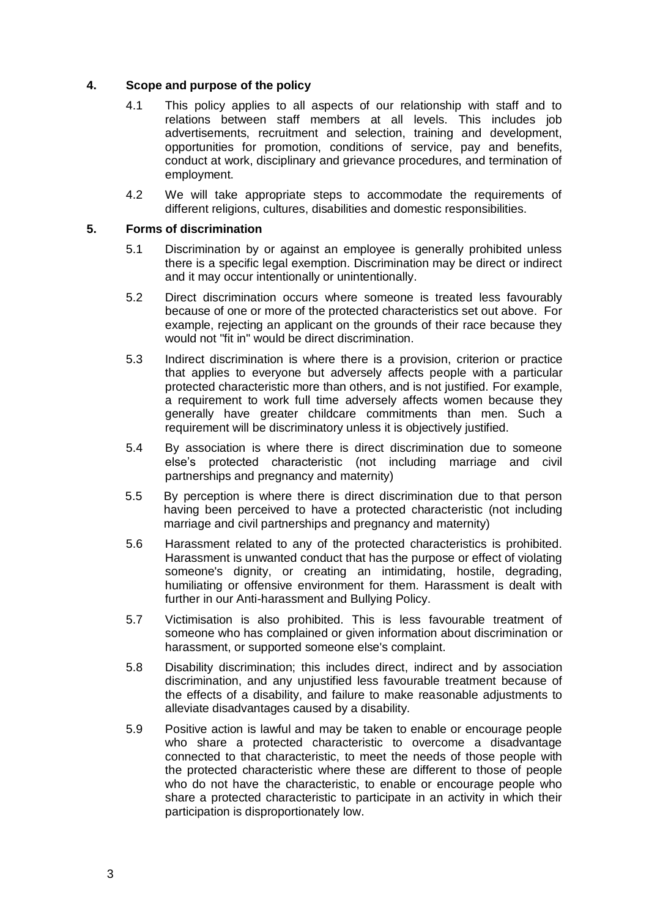#### **4. Scope and purpose of the policy**

- 4.1 This policy applies to all aspects of our relationship with staff and to relations between staff members at all levels. This includes job advertisements, recruitment and selection, training and development, opportunities for promotion, conditions of service, pay and benefits, conduct at work, disciplinary and grievance procedures, and termination of employment.
- 4.2 We will take appropriate steps to accommodate the requirements of different religions, cultures, disabilities and domestic responsibilities.

#### **5. Forms of discrimination**

- 5.1 Discrimination by or against an employee is generally prohibited unless there is a specific legal exemption. Discrimination may be direct or indirect and it may occur intentionally or unintentionally.
- 5.2 Direct discrimination occurs where someone is treated less favourably because of one or more of the protected characteristics set out above. For example, rejecting an applicant on the grounds of their race because they would not "fit in" would be direct discrimination.
- 5.3 Indirect discrimination is where there is a provision, criterion or practice that applies to everyone but adversely affects people with a particular protected characteristic more than others, and is not justified. For example, a requirement to work full time adversely affects women because they generally have greater childcare commitments than men. Such a requirement will be discriminatory unless it is objectively justified.
- 5.4 By association is where there is direct discrimination due to someone else's protected characteristic (not including marriage and civil partnerships and pregnancy and maternity)
- 5.5 By perception is where there is direct discrimination due to that person having been perceived to have a protected characteristic (not including marriage and civil partnerships and pregnancy and maternity)
- 5.6 Harassment related to any of the protected characteristics is prohibited. Harassment is unwanted conduct that has the purpose or effect of violating someone's dignity, or creating an intimidating, hostile, degrading, humiliating or offensive environment for them. Harassment is dealt with further in our Anti-harassment and Bullying Policy.
- 5.7 Victimisation is also prohibited. This is less favourable treatment of someone who has complained or given information about discrimination or harassment, or supported someone else's complaint.
- 5.8 Disability discrimination; this includes direct, indirect and by association discrimination, and any unjustified less favourable treatment because of the effects of a disability, and failure to make reasonable adjustments to alleviate disadvantages caused by a disability.
- 5.9 Positive action is lawful and may be taken to enable or encourage people who share a protected characteristic to overcome a disadvantage connected to that characteristic, to meet the needs of those people with the protected characteristic where these are different to those of people who do not have the characteristic, to enable or encourage people who share a protected characteristic to participate in an activity in which their participation is disproportionately low.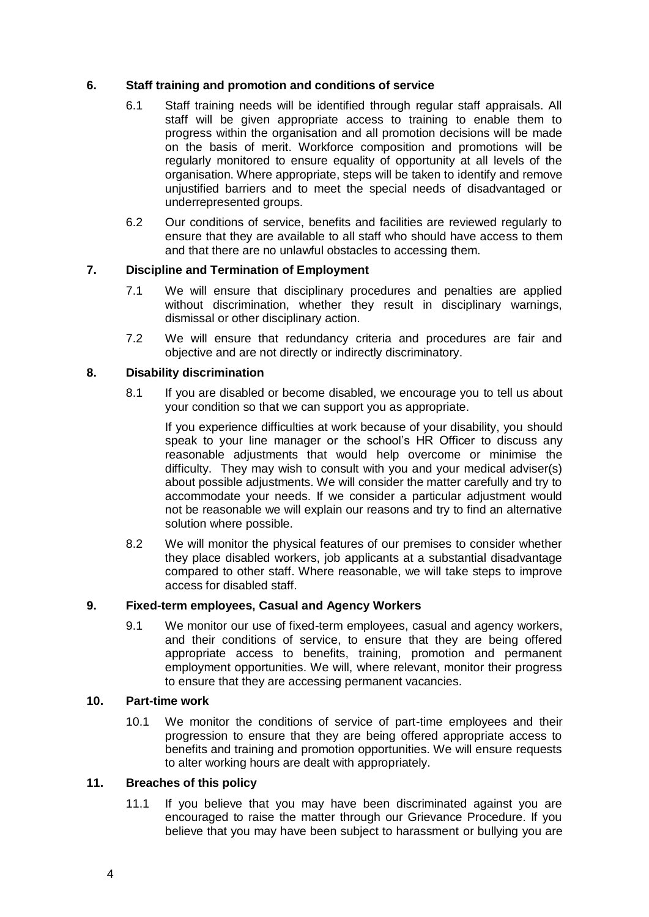## **6. Staff training and promotion and conditions of service**

- 6.1 Staff training needs will be identified through regular staff appraisals. All staff will be given appropriate access to training to enable them to progress within the organisation and all promotion decisions will be made on the basis of merit. Workforce composition and promotions will be regularly monitored to ensure equality of opportunity at all levels of the organisation. Where appropriate, steps will be taken to identify and remove unjustified barriers and to meet the special needs of disadvantaged or underrepresented groups.
- 6.2 Our conditions of service, benefits and facilities are reviewed regularly to ensure that they are available to all staff who should have access to them and that there are no unlawful obstacles to accessing them.

# **7. Discipline and Termination of Employment**

- 7.1 We will ensure that disciplinary procedures and penalties are applied without discrimination, whether they result in disciplinary warnings, dismissal or other disciplinary action.
- 7.2 We will ensure that redundancy criteria and procedures are fair and objective and are not directly or indirectly discriminatory.

## **8. Disability discrimination**

8.1 If you are disabled or become disabled, we encourage you to tell us about your condition so that we can support you as appropriate.

If you experience difficulties at work because of your disability, you should speak to your line manager or the school's HR Officer to discuss any reasonable adjustments that would help overcome or minimise the difficulty. They may wish to consult with you and your medical adviser(s) about possible adjustments. We will consider the matter carefully and try to accommodate your needs. If we consider a particular adjustment would not be reasonable we will explain our reasons and try to find an alternative solution where possible.

8.2 We will monitor the physical features of our premises to consider whether they place disabled workers, job applicants at a substantial disadvantage compared to other staff. Where reasonable, we will take steps to improve access for disabled staff.

## **9. Fixed-term employees, Casual and Agency Workers**

9.1 We monitor our use of fixed-term employees, casual and agency workers, and their conditions of service, to ensure that they are being offered appropriate access to benefits, training, promotion and permanent employment opportunities. We will, where relevant, monitor their progress to ensure that they are accessing permanent vacancies.

## **10. Part-time work**

10.1 We monitor the conditions of service of part-time employees and their progression to ensure that they are being offered appropriate access to benefits and training and promotion opportunities. We will ensure requests to alter working hours are dealt with appropriately.

# **11. Breaches of this policy**

11.1 If you believe that you may have been discriminated against you are encouraged to raise the matter through our Grievance Procedure. If you believe that you may have been subject to harassment or bullying you are